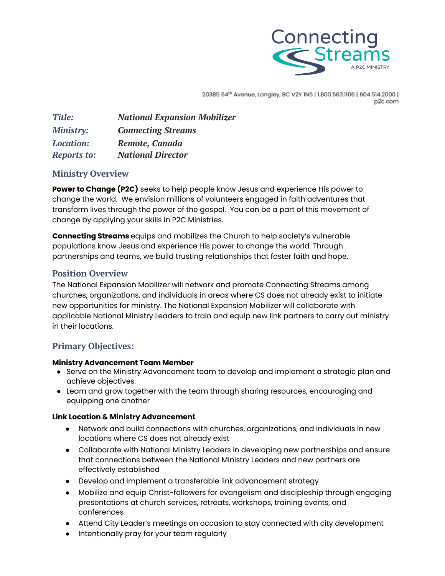

20385 64th Avenue, Langley, BC V2Y 1N5 | 1.800.563.1106 | 604.514.2000 | p2c.com

| Title:             | <b>National Expansion Mobilizer</b> |
|--------------------|-------------------------------------|
| <b>Ministry:</b>   | <b>Connecting Streams</b>           |
| <b>Location:</b>   | Remote, Canada                      |
| <b>Reports to:</b> | <b>National Director</b>            |

# **Ministry Overview**

**Power to Change (P2C)** seeks to help people know Jesus and experience His power to change the world. We envision millions of volunteers engaged in faith adventures that transform lives through the power of the gospel. You can be a part of this movement of change by applying your skills in P2C Ministries.

**Connecting Streams** equips and mobilizes the Church to help society's vulnerable populations know Jesus and experience His power to change the world. Through partnerships and teams, we build trusting relationships that foster faith and hope.

# **Position Overview**

The National Expansion Mobilizer will network and promote Connecting Streams among churches, organizations, and individuals in areas where CS does not already exist to initiate new opportunities for ministry. The National Expansion Mobilizer will collaborate with applicable National Ministry Leaders to train and equip new link partners to carry out ministry in their locations.

# **Primary Objectives:**

### **Ministry Advancement Team Member**

- Serve on the Ministry Advancement team to develop and implement a strategic plan and achieve objectives.
- Learn and grow together with the team through sharing resources, encouraging and equipping one another

### **Link Location & Ministry Advancement**

- Network and build connections with churches, organizations, and individuals in new locations where CS does not already exist
- Collaborate with National Ministry Leaders in developing new partnerships and ensure that connections between the National Ministry Leaders and new partners are effectively established
- Develop and Implement a transferable link advancement strategy
- Mobilize and equip Christ-followers for evangelism and discipleship through engaging presentations at church services, retreats, workshops, training events, and conferences
- Attend City Leader's meetings on occasion to stay connected with city development
- Intentionally pray for your team regularly